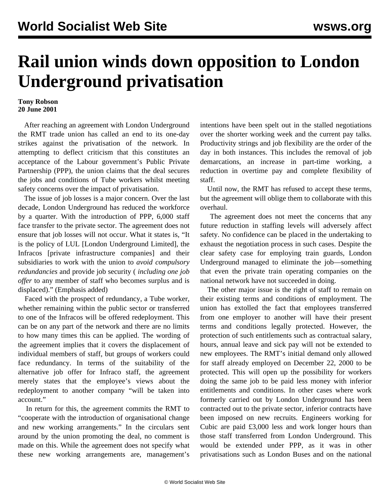## **Rail union winds down opposition to London Underground privatisation**

## **Tony Robson 20 June 2001**

 After reaching an agreement with London Underground the RMT trade union has called an end to its one-day strikes against the privatisation of the network. In attempting to deflect criticism that this constitutes an acceptance of the Labour government's Public Private Partnership (PPP), the union claims that the deal secures the jobs and conditions of Tube workers whilst meeting safety concerns over the impact of privatisation.

 The issue of job losses is a major concern. Over the last decade, London Underground has reduced the workforce by a quarter. With the introduction of PPP, 6,000 staff face transfer to the private sector. The agreement does not ensure that job losses will not occur. What it states is, "It is the policy of LUL [London Underground Limited], the Infracos [private infrastructure companies] and their subsidiaries to work with the union to *avoid compulsory redundancies* and provide job security ( *including one job offer* to any member of staff who becomes surplus and is displaced)." (Emphasis added)

 Faced with the prospect of redundancy, a Tube worker, whether remaining within the public sector or transferred to one of the Infracos will be offered redeployment. This can be on any part of the network and there are no limits to how many times this can be applied. The wording of the agreement implies that it covers the displacement of individual members of staff, but groups of workers could face redundancy. In terms of the suitability of the alternative job offer for Infraco staff, the agreement merely states that the employee's views about the redeployment to another company "will be taken into account."

 In return for this, the agreement commits the RMT to "cooperate with the introduction of organisational change and new working arrangements." In the circulars sent around by the union promoting the deal, no comment is made on this. While the agreement does not specify what these new working arrangements are, management's intentions have been spelt out in the stalled negotiations over the shorter working week and the current pay talks. Productivity strings and job flexibility are the order of the day in both instances. This includes the removal of job demarcations, an increase in part-time working, a reduction in overtime pay and complete flexibility of staff.

 Until now, the RMT has refused to accept these terms, but the agreement will oblige them to collaborate with this overhaul.

 The agreement does not meet the concerns that any future reduction in staffing levels will adversely affect safety. No confidence can be placed in the undertaking to exhaust the negotiation process in such cases. Despite the clear safety case for employing train guards, London Underground managed to eliminate the job—something that even the private train operating companies on the national network have not succeeded in doing.

 The other major issue is the right of staff to remain on their existing terms and conditions of employment. The union has extolled the fact that employees transferred from one employer to another will have their present terms and conditions legally protected. However, the protection of such entitlements such as contractual salary, hours, annual leave and sick pay will not be extended to new employees. The RMT's initial demand only allowed for staff already employed on December 22, 2000 to be protected. This will open up the possibility for workers doing the same job to be paid less money with inferior entitlements and conditions. In other cases where work formerly carried out by London Underground has been contracted out to the private sector, inferior contracts have been imposed on new recruits. Engineers working for Cubic are paid £3,000 less and work longer hours than those staff transferred from London Underground. This would be extended under PPP, as it was in other privatisations such as London Buses and on the national